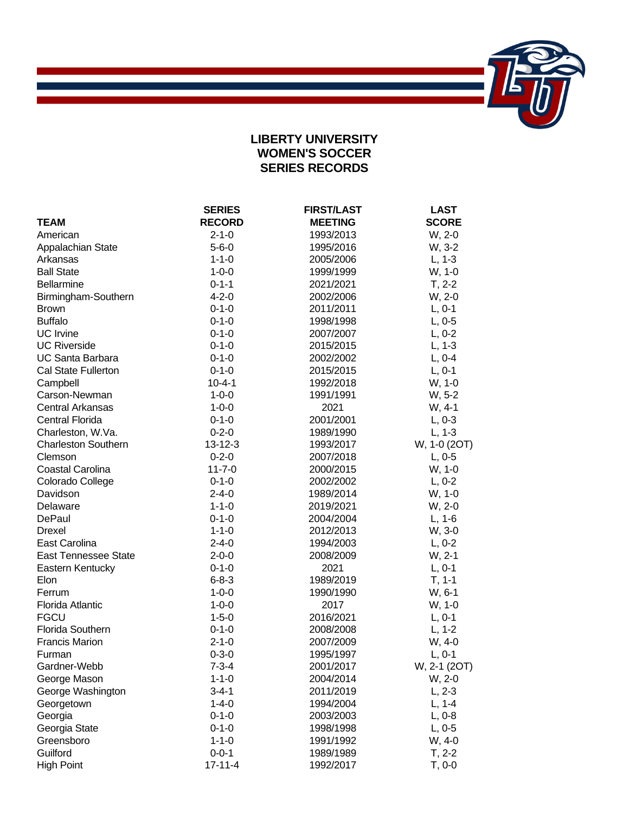

## **LIBERTY UNIVERSITY WOMEN'S SOCCER SERIES RECORDS**

|                             | <b>SERIES</b> | <b>FIRST/LAST</b> | <b>LAST</b>  |
|-----------------------------|---------------|-------------------|--------------|
| <b>TEAM</b>                 | <b>RECORD</b> | <b>MEETING</b>    | <b>SCORE</b> |
| American                    | $2 - 1 - 0$   | 1993/2013         | W, 2-0       |
| Appalachian State           | $5 - 6 - 0$   | 1995/2016         | W, 3-2       |
| Arkansas                    | $1 - 1 - 0$   | 2005/2006         | $L, 1-3$     |
| <b>Ball State</b>           | $1 - 0 - 0$   | 1999/1999         | W, 1-0       |
| Bellarmine                  | $0 - 1 - 1$   | 2021/2021         | $T, 2-2$     |
| Birmingham-Southern         | $4 - 2 - 0$   | 2002/2006         | W, 2-0       |
| <b>Brown</b>                | $0 - 1 - 0$   | 2011/2011         | $L, 0-1$     |
| <b>Buffalo</b>              | $0 - 1 - 0$   | 1998/1998         | $L, 0-5$     |
| <b>UC</b> Irvine            | $0 - 1 - 0$   | 2007/2007         | $L, 0-2$     |
| <b>UC Riverside</b>         | $0 - 1 - 0$   | 2015/2015         | $L, 1-3$     |
| <b>UC Santa Barbara</b>     | $0 - 1 - 0$   | 2002/2002         | $L, 0-4$     |
| <b>Cal State Fullerton</b>  | $0 - 1 - 0$   | 2015/2015         | $L, 0-1$     |
| Campbell                    | $10 - 4 - 1$  | 1992/2018         | W, 1-0       |
| Carson-Newman               | $1 - 0 - 0$   | 1991/1991         | W, 5-2       |
| <b>Central Arkansas</b>     | $1 - 0 - 0$   | 2021              | W, 4-1       |
| <b>Central Florida</b>      | $0 - 1 - 0$   | 2001/2001         | $L, 0-3$     |
| Charleston, W.Va.           | $0 - 2 - 0$   | 1989/1990         | $L, 1-3$     |
| <b>Charleston Southern</b>  | $13 - 12 - 3$ | 1993/2017         | W, 1-0 (2OT) |
| Clemson                     | $0 - 2 - 0$   | 2007/2018         | $L, 0-5$     |
| Coastal Carolina            | $11 - 7 - 0$  | 2000/2015         | W, 1-0       |
| Colorado College            | $0 - 1 - 0$   | 2002/2002         | $L, 0-2$     |
| Davidson                    | $2 - 4 - 0$   | 1989/2014         | W, 1-0       |
| Delaware                    | $1 - 1 - 0$   | 2019/2021         | W, 2-0       |
| DePaul                      | $0 - 1 - 0$   | 2004/2004         | $L, 1-6$     |
| <b>Drexel</b>               | $1 - 1 - 0$   | 2012/2013         | W, 3-0       |
| East Carolina               | $2 - 4 - 0$   | 1994/2003         | $L, 0-2$     |
| <b>East Tennessee State</b> | $2 - 0 - 0$   | 2008/2009         | $W, 2-1$     |
| Eastern Kentucky            | $0 - 1 - 0$   | 2021              | $L, 0-1$     |
| Elon                        | $6 - 8 - 3$   | 1989/2019         | $T, 1-1$     |
| Ferrum                      | $1 - 0 - 0$   | 1990/1990         | W, 6-1       |
| <b>Florida Atlantic</b>     | $1 - 0 - 0$   | 2017              | W, 1-0       |
| <b>FGCU</b>                 | $1 - 5 - 0$   | 2016/2021         | $L, 0-1$     |
| <b>Florida Southern</b>     | $0 - 1 - 0$   | 2008/2008         | $L, 1-2$     |
| <b>Francis Marion</b>       | $2 - 1 - 0$   | 2007/2009         | W, 4-0       |
| Furman                      | $0 - 3 - 0$   | 1995/1997         | $L, 0-1$     |
| Gardner-Webb                | $7 - 3 - 4$   | 2001/2017         | W, 2-1 (2OT) |
| George Mason                | $1 - 1 - 0$   | 2004/2014         | W, 2-0       |
| George Washington           | $3 - 4 - 1$   | 2011/2019         | $L, 2-3$     |
| Georgetown                  | $1 - 4 - 0$   | 1994/2004         | $L, 1-4$     |
| Georgia                     | $0 - 1 - 0$   | 2003/2003         | $L, 0-8$     |
| Georgia State               | $0 - 1 - 0$   | 1998/1998         | $L, 0-5$     |
| Greensboro                  | $1 - 1 - 0$   | 1991/1992         | W, 4-0       |
| Guilford                    | $0 - 0 - 1$   | 1989/1989         | $T, 2-2$     |
| <b>High Point</b>           | $17 - 11 - 4$ | 1992/2017         | $T, 0-0$     |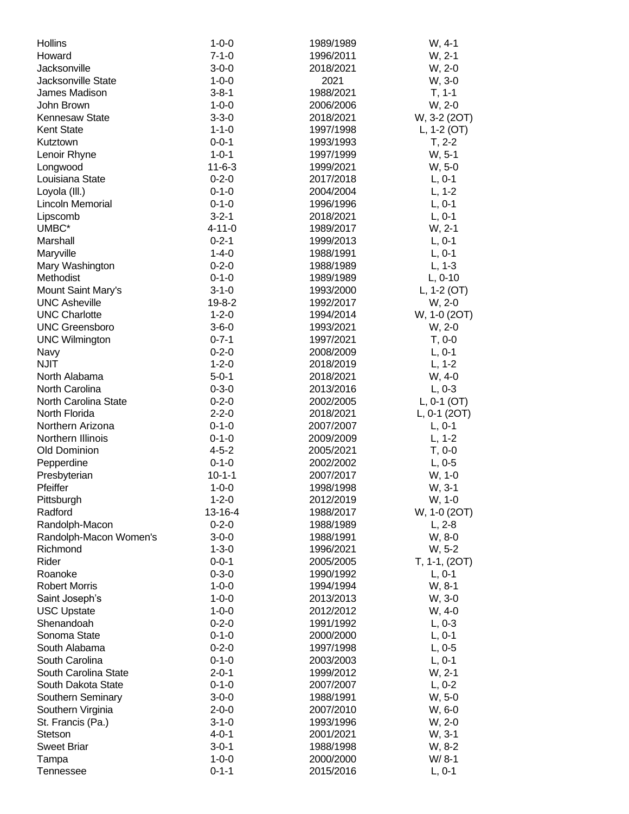| <b>Hollins</b>          | $1 - 0 - 0$  | 1989/1989 | W, 4-1          |
|-------------------------|--------------|-----------|-----------------|
| Howard                  | $7 - 1 - 0$  | 1996/2011 | W, 2-1          |
| Jacksonville            | $3 - 0 - 0$  | 2018/2021 | W, 2-0          |
| Jacksonville State      | $1 - 0 - 0$  | 2021      | W, 3-0          |
| James Madison           | $3 - 8 - 1$  | 1988/2021 | $T, 1-1$        |
| John Brown              | $1 - 0 - 0$  | 2006/2006 | W, 2-0          |
| Kennesaw State          | $3 - 3 - 0$  | 2018/2021 | W, 3-2 (2OT)    |
| <b>Kent State</b>       | $1 - 1 - 0$  | 1997/1998 | L, $1-2$ (OT)   |
| Kutztown                | $0 - 0 - 1$  | 1993/1993 | $T, 2-2$        |
| Lenoir Rhyne            | $1 - 0 - 1$  | 1997/1999 | W, 5-1          |
| Longwood                | $11 - 6 - 3$ | 1999/2021 | W, 5-0          |
| Louisiana State         | $0 - 2 - 0$  | 2017/2018 | $L, 0-1$        |
| Loyola (III.)           | $0 - 1 - 0$  | 2004/2004 | $L, 1-2$        |
| <b>Lincoln Memorial</b> | $0 - 1 - 0$  | 1996/1996 | $L, 0-1$        |
| Lipscomb                | $3 - 2 - 1$  | 2018/2021 | $L, 0-1$        |
| UMBC*                   | $4 - 11 - 0$ | 1989/2017 | W, 2-1          |
| Marshall                | $0 - 2 - 1$  | 1999/2013 | $L, 0-1$        |
| Maryville               | $1 - 4 - 0$  | 1988/1991 | $L, 0-1$        |
| Mary Washington         | $0 - 2 - 0$  | 1988/1989 | $L, 1-3$        |
| Methodist               | $0 - 1 - 0$  | 1989/1989 | $L, 0-10$       |
| Mount Saint Mary's      | $3 - 1 - 0$  | 1993/2000 | L, $1-2$ (OT)   |
| <b>UNC Asheville</b>    | $19 - 8 - 2$ | 1992/2017 | W, 2-0          |
| <b>UNC Charlotte</b>    | $1 - 2 - 0$  | 1994/2014 | W, 1-0 (2OT)    |
| <b>UNC Greensboro</b>   | $3 - 6 - 0$  | 1993/2021 | W, 2-0          |
| <b>UNC Wilmington</b>   | $0 - 7 - 1$  | 1997/2021 | $T, 0-0$        |
| Navy                    | $0 - 2 - 0$  | 2008/2009 | $L, 0-1$        |
| <b>NJIT</b>             | $1 - 2 - 0$  | 2018/2019 | $L, 1-2$        |
| North Alabama           | $5 - 0 - 1$  | 2018/2021 | W, 4-0          |
| <b>North Carolina</b>   | $0 - 3 - 0$  | 2013/2016 | $L, 0-3$        |
| North Carolina State    | $0 - 2 - 0$  | 2002/2005 | $L, 0-1$ (OT)   |
| North Florida           | $2 - 2 - 0$  | 2018/2021 | L, $0-1$ (2OT)  |
| Northern Arizona        | $0 - 1 - 0$  | 2007/2007 | $L, 0-1$        |
| Northern Illinois       | $0 - 1 - 0$  | 2009/2009 | $L, 1-2$        |
| Old Dominion            | $4 - 5 - 2$  | 2005/2021 | $T, 0-0$        |
| Pepperdine              | $0 - 1 - 0$  | 2002/2002 | $L, 0-5$        |
| Presbyterian            | $10 - 1 - 1$ | 2007/2017 | W, 1-0          |
| Pfeiffer                | $1 - 0 - 0$  | 1998/1998 | W, 3-1          |
| Pittsburgh              | $1 - 2 - 0$  | 2012/2019 | W, 1-0          |
| Radford                 | 13-16-4      | 1988/2017 | W, 1-0 (2OT)    |
| Randolph-Macon          | $0 - 2 - 0$  | 1988/1989 | $L, 2-8$        |
| Randolph-Macon Women's  | $3 - 0 - 0$  | 1988/1991 | W, 8-0          |
| Richmond                | $1 - 3 - 0$  | 1996/2021 | W, 5-2          |
| Rider                   | $0 - 0 - 1$  | 2005/2005 | $T, 1-1, (2OT)$ |
| Roanoke                 | $0 - 3 - 0$  | 1990/1992 | $L, 0-1$        |
| <b>Robert Morris</b>    | $1 - 0 - 0$  | 1994/1994 | W, 8-1          |
| Saint Joseph's          | $1 - 0 - 0$  | 2013/2013 | W, 3-0          |
| <b>USC Upstate</b>      | $1 - 0 - 0$  | 2012/2012 | W, 4-0          |
| Shenandoah              | $0 - 2 - 0$  | 1991/1992 | $L, 0-3$        |
| Sonoma State            | $0 - 1 - 0$  | 2000/2000 | $L, 0-1$        |
| South Alabama           | $0 - 2 - 0$  | 1997/1998 | $L, 0-5$        |
| South Carolina          | $0 - 1 - 0$  | 2003/2003 | $L, 0-1$        |
| South Carolina State    | $2 - 0 - 1$  | 1999/2012 | W, 2-1          |
| South Dakota State      | $0 - 1 - 0$  | 2007/2007 | $L, 0-2$        |
| Southern Seminary       | $3 - 0 - 0$  | 1988/1991 | W, 5-0          |
| Southern Virginia       | $2 - 0 - 0$  | 2007/2010 | W, 6-0          |
| St. Francis (Pa.)       | $3 - 1 - 0$  | 1993/1996 | W, 2-0          |
| Stetson                 | $4 - 0 - 1$  | 2001/2021 | W, 3-1          |
| <b>Sweet Briar</b>      | $3 - 0 - 1$  | 1988/1998 | W, 8-2          |
| Tampa                   | $1 - 0 - 0$  | 2000/2000 | $W/ 8-1$        |
| Tennessee               | $0 - 1 - 1$  | 2015/2016 | $L, 0-1$        |